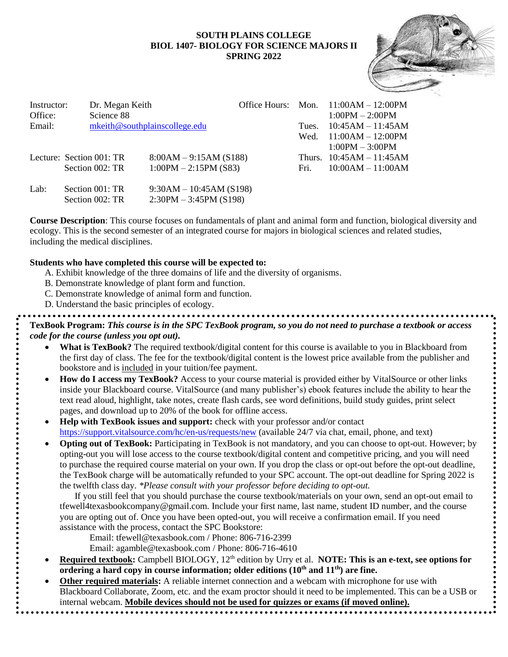#### **SOUTH PLAINS COLLEGE BIOL 1407- BIOLOGY FOR SCIENCE MAJORS II SPRING 2022**



| Instructor:<br>Office: |                          | Dr. Megan Keith<br>Science 88 |                               |       | Office Hours: Mon. $11:00AM - 12:00PM$<br>$1:00PM - 2:00PM$ |
|------------------------|--------------------------|-------------------------------|-------------------------------|-------|-------------------------------------------------------------|
| Email:                 |                          |                               | mkeith@southplainscollege.edu | Tues. | $10:45AM - 11:45AM$                                         |
|                        |                          |                               |                               |       | Wed. $11:00AM - 12:00PM$                                    |
|                        |                          |                               |                               |       | $1:00PM - 3:00PM$                                           |
|                        | Lecture: Section 001: TR |                               | $8:00AM - 9:15AM(S188)$       |       | Thurs. $10:45AM - 11:45AM$                                  |
|                        | Section 002: TR          |                               | $1:00PM - 2:15PM$ (S83)       | Fri.  | $10:00AM - 11:00AM$                                         |
| Lab:                   | Section 001: TR          |                               | $9:30AM - 10:45AM (S198)$     |       |                                                             |
|                        | Section 002: TR          |                               | $2:30PM - 3:45PM$ (S198)      |       |                                                             |

**Course Description**: This course focuses on fundamentals of plant and animal form and function, biological diversity and ecology. This is the second semester of an integrated course for majors in biological sciences and related studies, including the medical disciplines.

#### **Students who have completed this course will be expected to:**

- A. Exhibit knowledge of the three domains of life and the diversity of organisms.
- B. Demonstrate knowledge of plant form and function.
- C. Demonstrate knowledge of animal form and function.
- D. Understand the basic principles of ecology.

**TexBook Program:** *This course is in the SPC TexBook program, so you do not need to purchase a textbook or access code for the course (unless you opt out).*

- What is TexBook? The required textbook/digital content for this course is available to you in Blackboard from the first day of class. The fee for the textbook/digital content is the lowest price available from the publisher and bookstore and is included in your tuition/fee payment.
- **How do I access my TexBook?** Access to your course material is provided either by VitalSource or other links inside your Blackboard course. VitalSource (and many publisher's) ebook features include the ability to hear the text read aloud, highlight, take notes, create flash cards, see word definitions, build study guides, print select pages, and download up to 20% of the book for offline access.
- **Help with TexBook issues and support:** check with your professor and/or contact <https://support.vitalsource.com/hc/en-us/requests/new> (available 24/7 via chat, email, phone, and text)
- **Opting out of TexBook:** Participating in TexBook is not mandatory, and you can choose to opt-out. However; by opting-out you will lose access to the course textbook/digital content and competitive pricing, and you will need to purchase the required course material on your own. If you drop the class or opt-out before the opt-out deadline, the TexBook charge will be automatically refunded to your SPC account. The opt-out deadline for Spring 2022 is the twelfth class day. *\*Please consult with your professor before deciding to opt-out.*

If you still feel that you should purchase the course textbook/materials on your own, send an opt-out email to tfewell4texasbookcompany@gmail.com. Include your first name, last name, student ID number, and the course you are opting out of. Once you have been opted-out, you will receive a confirmation email. If you need assistance with the process, contact the SPC Bookstore:

- Email: tfewell@texasbook.com / Phone: 806-716-2399
- Email: agamble@texasbook.com / Phone: 806-716-4610
- **Required textbook:** Campbell BIOLOGY, 12<sup>th</sup> edition by Urry et al. **NOTE: This is an e-text, see options for ordering a hard copy in course information; older editions (10th and 11th) are fine.**
- **Other required materials:** A reliable internet connection and a webcam with microphone for use with Blackboard Collaborate, Zoom, etc. and the exam proctor should it need to be implemented. This can be a USB or internal webcam. **Mobile devices should not be used for quizzes or exams (if moved online).**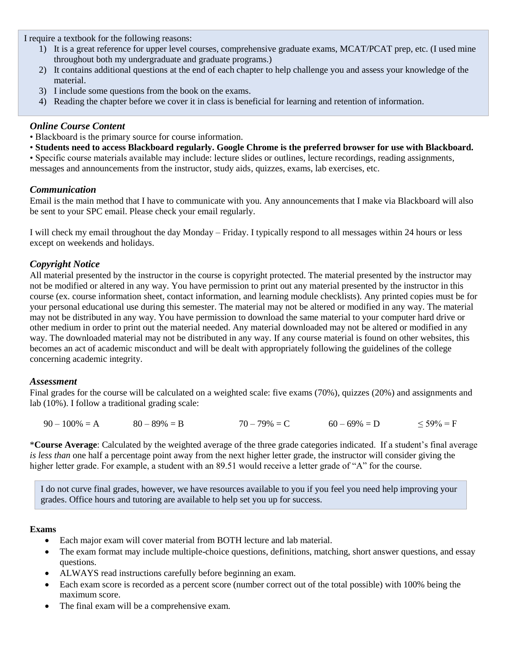I require a textbook for the following reasons:

- 1) It is a great reference for upper level courses, comprehensive graduate exams, MCAT/PCAT prep, etc. (I used mine throughout both my undergraduate and graduate programs.)
- 2) It contains additional questions at the end of each chapter to help challenge you and assess your knowledge of the material.
- 3) I include some questions from the book on the exams.
- 4) Reading the chapter before we cover it in class is beneficial for learning and retention of information.

## *Online Course Content*

- Blackboard is the primary source for course information.
- **Students need to access Blackboard regularly. Google Chrome is the preferred browser for use with Blackboard.**

• Specific course materials available may include: lecture slides or outlines, lecture recordings, reading assignments, messages and announcements from the instructor, study aids, quizzes, exams, lab exercises, etc.

# *Communication*

Email is the main method that I have to communicate with you. Any announcements that I make via Blackboard will also be sent to your SPC email. Please check your email regularly.

I will check my email throughout the day Monday – Friday. I typically respond to all messages within 24 hours or less except on weekends and holidays.

# *Copyright Notice*

All material presented by the instructor in the course is copyright protected. The material presented by the instructor may not be modified or altered in any way. You have permission to print out any material presented by the instructor in this course (ex. course information sheet, contact information, and learning module checklists). Any printed copies must be for your personal educational use during this semester. The material may not be altered or modified in any way. The material may not be distributed in any way. You have permission to download the same material to your computer hard drive or other medium in order to print out the material needed. Any material downloaded may not be altered or modified in any way. The downloaded material may not be distributed in any way. If any course material is found on other websites, this becomes an act of academic misconduct and will be dealt with appropriately following the guidelines of the college concerning academic integrity.

## *Assessment*

Final grades for the course will be calculated on a weighted scale: five exams (70%), quizzes (20%) and assignments and lab (10%). I follow a traditional grading scale:

 $90 - 100\% = A$   $80 - 89\% = B$   $70 - 79\% = C$   $60 - 69\% = D$   $59\% = F$ 

\***Course Average**: Calculated by the weighted average of the three grade categories indicated. If a student's final average *is less than* one half a percentage point away from the next higher letter grade, the instructor will consider giving the higher letter grade. For example, a student with an 89.51 would receive a letter grade of "A" for the course.

I do not curve final grades, however, we have resources available to you if you feel you need help improving your grades. Office hours and tutoring are available to help set you up for success.

## **Exams**

- Each major exam will cover material from BOTH lecture and lab material.
- The exam format may include multiple-choice questions, definitions, matching, short answer questions, and essay questions.
- ALWAYS read instructions carefully before beginning an exam.
- Each exam score is recorded as a percent score (number correct out of the total possible) with 100% being the maximum score.
- The final exam will be a comprehensive exam.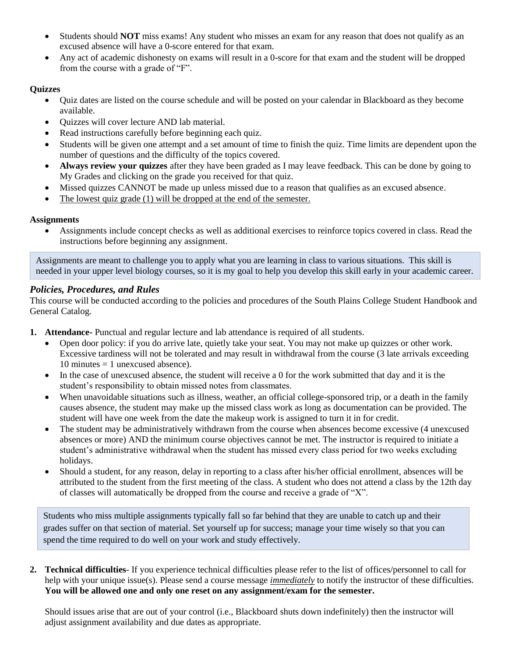- Students should **NOT** miss exams! Any student who misses an exam for any reason that does not qualify as an excused absence will have a 0-score entered for that exam.
- Any act of academic dishonesty on exams will result in a 0-score for that exam and the student will be dropped from the course with a grade of "F".

## **Quizzes**

- Quiz dates are listed on the course schedule and will be posted on your calendar in Blackboard as they become available.
- Quizzes will cover lecture AND lab material.
- Read instructions carefully before beginning each quiz.
- Students will be given one attempt and a set amount of time to finish the quiz. Time limits are dependent upon the number of questions and the difficulty of the topics covered.
- **Always review your quizzes** after they have been graded as I may leave feedback. This can be done by going to My Grades and clicking on the grade you received for that quiz.
- Missed quizzes CANNOT be made up unless missed due to a reason that qualifies as an excused absence.
- The lowest quiz grade (1) will be dropped at the end of the semester.

## **Assignments**

• Assignments include concept checks as well as additional exercises to reinforce topics covered in class. Read the instructions before beginning any assignment.

Assignments are meant to challenge you to apply what you are learning in class to various situations. This skill is needed in your upper level biology courses, so it is my goal to help you develop this skill early in your academic career.

# *Policies, Procedures, and Rules*

This course will be conducted according to the policies and procedures of the South Plains College Student Handbook and General Catalog.

- **1. Attendance-** Punctual and regular lecture and lab attendance is required of all students.
	- Open door policy: if you do arrive late, quietly take your seat. You may not make up quizzes or other work. Excessive tardiness will not be tolerated and may result in withdrawal from the course (3 late arrivals exceeding 10 minutes  $=$  1 unexcused absence).
	- In the case of unexcused absence, the student will receive a 0 for the work submitted that day and it is the student's responsibility to obtain missed notes from classmates.
	- When unavoidable situations such as illness, weather, an official college-sponsored trip, or a death in the family causes absence, the student may make up the missed class work as long as documentation can be provided. The student will have one week from the date the makeup work is assigned to turn it in for credit.
	- The student may be administratively withdrawn from the course when absences become excessive (4 unexcused absences or more) AND the minimum course objectives cannot be met. The instructor is required to initiate a student's administrative withdrawal when the student has missed every class period for two weeks excluding holidays.
	- Should a student, for any reason, delay in reporting to a class after his/her official enrollment, absences will be attributed to the student from the first meeting of the class. A student who does not attend a class by the 12th day of classes will automatically be dropped from the course and receive a grade of "X".

Students who miss multiple assignments typically fall so far behind that they are unable to catch up and their grades suffer on that section of material. Set yourself up for success; manage your time wisely so that you can spend the time required to do well on your work and study effectively.

**2. Technical difficulties**- If you experience technical difficulties please refer to the list of offices/personnel to call for help with your unique issue(s). Please send a course message *immediately* to notify the instructor of these difficulties. **You will be allowed one and only one reset on any assignment/exam for the semester.**

Should issues arise that are out of your control (i.e., Blackboard shuts down indefinitely) then the instructor will adjust assignment availability and due dates as appropriate.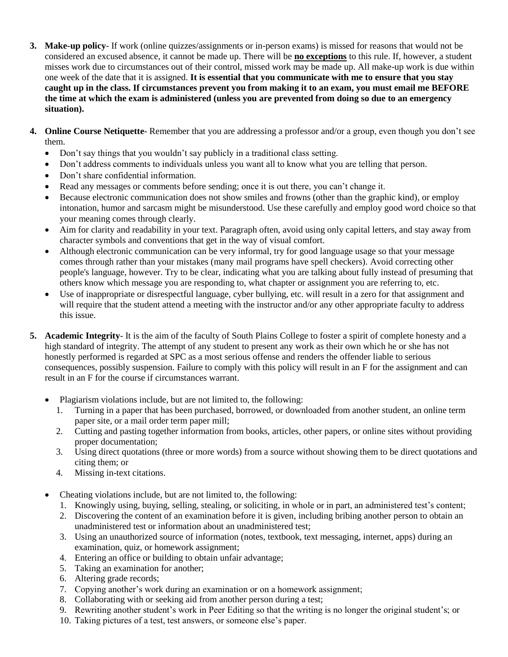- **3. Make-up policy** If work (online quizzes/assignments or in-person exams) is missed for reasons that would not be considered an excused absence, it cannot be made up. There will be **no exceptions** to this rule. If, however, a student misses work due to circumstances out of their control, missed work may be made up. All make-up work is due within one week of the date that it is assigned. **It is essential that you communicate with me to ensure that you stay caught up in the class. If circumstances prevent you from making it to an exam, you must email me BEFORE the time at which the exam is administered (unless you are prevented from doing so due to an emergency situation).**
- **4. Online Course Netiquette** Remember that you are addressing a professor and/or a group, even though you don't see them.
	- Don't say things that you wouldn't say publicly in a traditional class setting.
	- Don't address comments to individuals unless you want all to know what you are telling that person.
	- Don't share confidential information.
	- Read any messages or comments before sending; once it is out there, you can't change it.
	- Because electronic communication does not show smiles and frowns (other than the graphic kind), or employ intonation, humor and sarcasm might be misunderstood. Use these carefully and employ good word choice so that your meaning comes through clearly.
	- Aim for clarity and readability in your text. Paragraph often, avoid using only capital letters, and stay away from character symbols and conventions that get in the way of visual comfort.
	- Although electronic communication can be very informal, try for good language usage so that your message comes through rather than your mistakes (many mail programs have spell checkers). Avoid correcting other people's language, however. Try to be clear, indicating what you are talking about fully instead of presuming that others know which message you are responding to, what chapter or assignment you are referring to, etc.
	- Use of inappropriate or disrespectful language, cyber bullying, etc. will result in a zero for that assignment and will require that the student attend a meeting with the instructor and/or any other appropriate faculty to address this issue.
- **5. Academic Integrity** It is the aim of the faculty of South Plains College to foster a spirit of complete honesty and a high standard of integrity. The attempt of any student to present any work as their own which he or she has not honestly performed is regarded at SPC as a most serious offense and renders the offender liable to serious consequences, possibly suspension. Failure to comply with this policy will result in an F for the assignment and can result in an F for the course if circumstances warrant.
	- Plagiarism violations include, but are not limited to, the following:
		- 1. Turning in a paper that has been purchased, borrowed, or downloaded from another student, an online term paper site, or a mail order term paper mill;
		- 2. Cutting and pasting together information from books, articles, other papers, or online sites without providing proper documentation;
		- 3. Using direct quotations (three or more words) from a source without showing them to be direct quotations and citing them; or
		- 4. Missing in-text citations.
	- Cheating violations include, but are not limited to, the following:
		- 1. Knowingly using, buying, selling, stealing, or soliciting, in whole or in part, an administered test's content;
		- 2. Discovering the content of an examination before it is given, including bribing another person to obtain an unadministered test or information about an unadministered test;
		- 3. Using an unauthorized source of information (notes, textbook, text messaging, internet, apps) during an examination, quiz, or homework assignment;
		- 4. Entering an office or building to obtain unfair advantage;
		- 5. Taking an examination for another;
		- 6. Altering grade records;
		- 7. Copying another's work during an examination or on a homework assignment;
		- 8. Collaborating with or seeking aid from another person during a test;
		- 9. Rewriting another student's work in Peer Editing so that the writing is no longer the original student's; or
		- 10. Taking pictures of a test, test answers, or someone else's paper.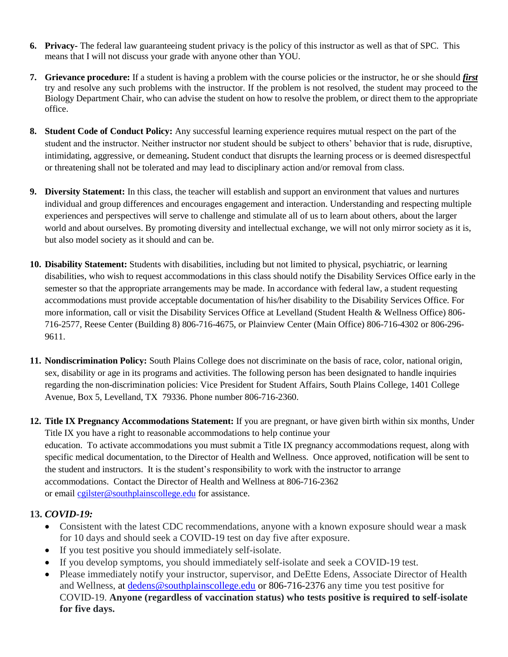- **6. Privacy-** The federal law guaranteeing student privacy is the policy of this instructor as well as that of SPC. This means that I will not discuss your grade with anyone other than YOU.
- **7. Grievance procedure:** If a student is having a problem with the course policies or the instructor, he or she should *first* try and resolve any such problems with the instructor. If the problem is not resolved, the student may proceed to the Biology Department Chair, who can advise the student on how to resolve the problem, or direct them to the appropriate office.
- **8. Student Code of Conduct Policy:** Any successful learning experience requires mutual respect on the part of the student and the instructor. Neither instructor nor student should be subject to others' behavior that is rude, disruptive, intimidating, aggressive, or demeaning**.** Student conduct that disrupts the learning process or is deemed disrespectful or threatening shall not be tolerated and may lead to disciplinary action and/or removal from class.
- **9. Diversity Statement:** In this class, the teacher will establish and support an environment that values and nurtures individual and group differences and encourages engagement and interaction. Understanding and respecting multiple experiences and perspectives will serve to challenge and stimulate all of us to learn about others, about the larger world and about ourselves. By promoting diversity and intellectual exchange, we will not only mirror society as it is, but also model society as it should and can be.
- **10. Disability Statement:** Students with disabilities, including but not limited to physical, psychiatric, or learning disabilities, who wish to request accommodations in this class should notify the Disability Services Office early in the semester so that the appropriate arrangements may be made. In accordance with federal law, a student requesting accommodations must provide acceptable documentation of his/her disability to the Disability Services Office. For more information, call or visit the Disability Services Office at Levelland (Student Health & Wellness Office) 806- 716-2577, Reese Center (Building 8) 806-716-4675, or Plainview Center (Main Office) 806-716-4302 or 806-296- 9611.
- **11. Nondiscrimination Policy:** South Plains College does not discriminate on the basis of race, color, national origin, sex, disability or age in its programs and activities. The following person has been designated to handle inquiries regarding the non-discrimination policies: Vice President for Student Affairs, South Plains College, 1401 College Avenue, Box 5, Levelland, TX 79336. Phone number 806-716-2360.
- **12. Title IX Pregnancy Accommodations Statement:** If you are pregnant, or have given birth within six months, Under Title IX you have a right to reasonable accommodations to help continue your education. To [activate](http://www.southplainscollege.edu/employees/manualshandbooks/facultyhandbook/sec4.php) accommodations you must submit a Title IX pregnancy accommodations request, along with specific medical documentation, to the Director of Health and Wellness. Once approved, notification will be sent to the student and instructors. It is the student's responsibility to work with the instructor to arrange accommodations. Contact the Director of Health and Wellness at 806-716-2362 or email [cgilster@southplainscollege.edu](mailto:cgilster@southplainscollege.edu) for assistance.

# **13.** *COVID-19:*

- Consistent with the latest CDC recommendations, anyone with a known exposure should wear a mask for 10 days and should seek a COVID-19 test on day five after exposure.
- If you test positive you should immediately self-isolate.
- If you develop symptoms, you should immediately self-isolate and seek a COVID-19 test.
- Please immediately notify your instructor, supervisor, and DeEtte Edens, Associate Director of Health and Wellness, at [dedens@southplainscollege.edu](mailto:dedens@southplainscollege.edu) or 806-716-2376 any time you test positive for COVID-19. **Anyone (regardless of vaccination status) who tests positive is required to self-isolate for five days.**